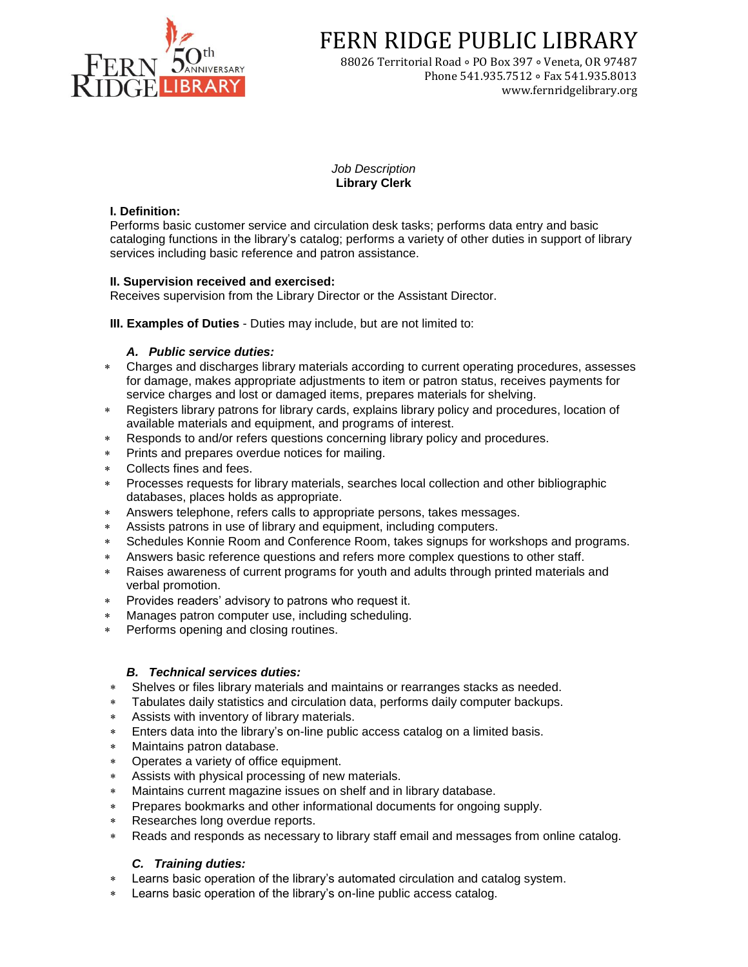

FERN RIDGE PUBLIC LIBRARY

88026 Territorial Road ∘ PO Box 397 ∘ Veneta, OR 97487 Phone 541.935.7512 ∘ Fax 541.935.8013 www.fernridgelibrary.org

*Job Description* **Library Clerk**

## **I. Definition:**

Performs basic customer service and circulation desk tasks; performs data entry and basic cataloging functions in the library's catalog; performs a variety of other duties in support of library services including basic reference and patron assistance.

# **II. Supervision received and exercised:**

Receives supervision from the Library Director or the Assistant Director.

**III. Examples of Duties** - Duties may include, but are not limited to:

# *A. Public service duties:*

- Charges and discharges library materials according to current operating procedures, assesses for damage, makes appropriate adjustments to item or patron status, receives payments for service charges and lost or damaged items, prepares materials for shelving.
- Registers library patrons for library cards, explains library policy and procedures, location of available materials and equipment, and programs of interest.
- Responds to and/or refers questions concerning library policy and procedures.
- Prints and prepares overdue notices for mailing.
- Collects fines and fees.
- Processes requests for library materials, searches local collection and other bibliographic databases, places holds as appropriate.
- Answers telephone, refers calls to appropriate persons, takes messages.
- Assists patrons in use of library and equipment, including computers.
- Schedules Konnie Room and Conference Room, takes signups for workshops and programs.
- Answers basic reference questions and refers more complex questions to other staff.
- Raises awareness of current programs for youth and adults through printed materials and verbal promotion.
- Provides readers' advisory to patrons who request it.
- Manages patron computer use, including scheduling.
- Performs opening and closing routines.

# *B. Technical services duties:*

- Shelves or files library materials and maintains or rearranges stacks as needed.
- Tabulates daily statistics and circulation data, performs daily computer backups.
- Assists with inventory of library materials.
- Enters data into the library's on-line public access catalog on a limited basis.
- Maintains patron database.
- Operates a variety of office equipment.
- Assists with physical processing of new materials.
- Maintains current magazine issues on shelf and in library database.
- Prepares bookmarks and other informational documents for ongoing supply.
- Researches long overdue reports.
- Reads and responds as necessary to library staff email and messages from online catalog.

# *C. Training duties:*

- Learns basic operation of the library's automated circulation and catalog system.
- Learns basic operation of the library's on-line public access catalog.